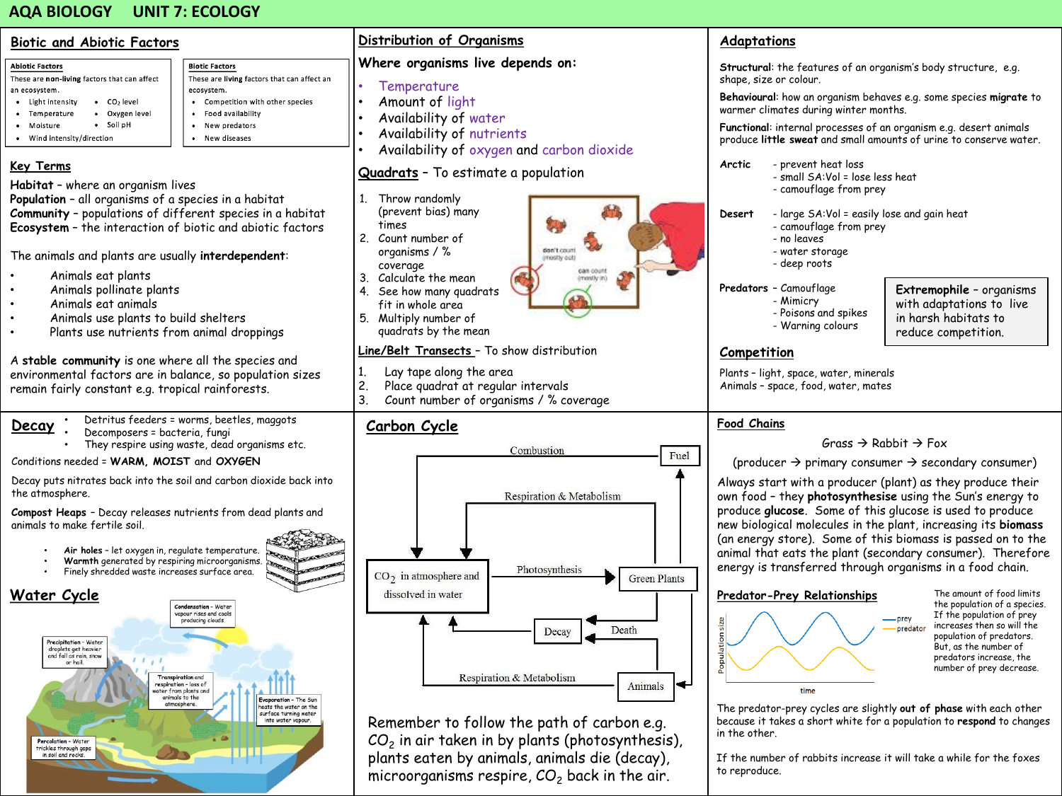# **AQA BIOLOGY UNIT 7: ECOLOGY**

| <b>Biotic and Abiotic Factors</b>                                                                                                                                                                                                                                                                                                                                                                                                                                                                                                                                                                                                                                                                                                                                                                                                                                                                                                                                                                                | Distribution of Organisms                                                                                                                                                                                                                                                                                                                                                                                                                                                                                                                                                                  | Adaptations                                                                                                                                                                                                                                                                                                                                                                                                                                                                                                                                                                                                                                                                                                                                                                                                                                             |
|------------------------------------------------------------------------------------------------------------------------------------------------------------------------------------------------------------------------------------------------------------------------------------------------------------------------------------------------------------------------------------------------------------------------------------------------------------------------------------------------------------------------------------------------------------------------------------------------------------------------------------------------------------------------------------------------------------------------------------------------------------------------------------------------------------------------------------------------------------------------------------------------------------------------------------------------------------------------------------------------------------------|--------------------------------------------------------------------------------------------------------------------------------------------------------------------------------------------------------------------------------------------------------------------------------------------------------------------------------------------------------------------------------------------------------------------------------------------------------------------------------------------------------------------------------------------------------------------------------------------|---------------------------------------------------------------------------------------------------------------------------------------------------------------------------------------------------------------------------------------------------------------------------------------------------------------------------------------------------------------------------------------------------------------------------------------------------------------------------------------------------------------------------------------------------------------------------------------------------------------------------------------------------------------------------------------------------------------------------------------------------------------------------------------------------------------------------------------------------------|
| <b>Biotic Factors</b><br><b>Abiotic Factors</b><br>These are living factors that can affect an<br>These are non-living factors that can affect<br>an ecosystem.<br>ecosystem.<br>$\bullet$ $CO2$ level<br>Competition with other species<br>• Light intensity<br>· Oxygen level<br>Food availability<br>• Temperature<br>· Soil pH<br>New predators<br>• Moisture<br>$\bullet$<br>• Wind intensity/direction<br>New diseases<br><b>Key Terms</b><br>Habitat - where an organism lives<br>Population - all organisms of a species in a habitat<br>Community - populations of different species in a habitat<br>Ecosystem - the interaction of biotic and abiotic factors<br>The animals and plants are usually interdependent:<br>Animals eat plants<br>Animals pollinate plants<br>Animals eat animals<br>Animals use plants to build shelters<br>Plants use nutrients from animal droppings<br>A stable community is one where all the species and<br>environmental factors are in balance, so population sizes | Where organisms live depends on:<br>Temperature<br>Amount of light<br>Availability of water<br>Availability of nutrients<br>Availability of oxygen and carbon dioxide<br>Quadrats - To estimate a population<br>1. Throw randomly<br>(prevent bias) many<br>times<br>2. Count number of<br>organisms / %<br>don't court.<br>imostiv outi<br>coverage<br>can count<br>3. Calculate the mean<br>(mostly in)<br>4. See how many quadrats<br>fit in whole area<br>5. Multiply number of<br>quadrats by the mean<br>Line/Belt Transects - To show distribution<br>Lay tape along the area<br>1. | Structural: the features of an organism's body structure, e.g.<br>shape, size or colour.<br>Behavioural: how an organism behaves e.g. some species migrate to<br>warmer climates during winter months.<br>Functional: internal processes of an organism e.g. desert animals<br>produce little sweat and small amounts of urine to conserve water.<br>Arctic<br>- prevent heat loss<br>- small SA:Vol = lose less heat<br>- camouflage from prey<br>Desert<br>- large SA:Vol = easily lose and gain heat<br>- camouflage from prey<br>- no leaves<br>- water storage<br>- deep roots<br>Predators - Camouflage<br>Extremophile - organisms<br>- Mimicry<br>with adaptations to live<br>- Poisons and spikes<br>in harsh habitats to<br>- Warning colours<br>reduce competition.<br>Competition<br>Plants - light, space, water, minerals                 |
| remain fairly constant e.g. tropical rainforests.                                                                                                                                                                                                                                                                                                                                                                                                                                                                                                                                                                                                                                                                                                                                                                                                                                                                                                                                                                | 2.<br>Place quadrat at regular intervals<br>3 <sub>1</sub><br>Count number of organisms / % coverage                                                                                                                                                                                                                                                                                                                                                                                                                                                                                       | Animals - space, food, water, mates                                                                                                                                                                                                                                                                                                                                                                                                                                                                                                                                                                                                                                                                                                                                                                                                                     |
| Detritus feeders = worms, beetles, maggots<br>Decay<br>Decomposers = bacteria, fungi<br>They respire using waste, dead organisms etc.<br>Conditions needed = WARM, MOIST and OXYGEN<br>Decay puts nitrates back into the soil and carbon dioxide back into<br>the atmosphere.<br>Compost Heaps - Decay releases nutrients from dead plants and<br>animals to make fertile soil.<br>Air holes - let oxygen in, regulate temperature.<br><b>READER</b><br>Warmth generated by respiring microorganisms.<br>Finely shredded waste increases surface area.<br>Water Cycle<br>ndensation - Wate<br>apour rises and cools<br>producing clouds.<br>Precipitation - Water                                                                                                                                                                                                                                                                                                                                                | Carbon Cycle<br>Combustion<br>Fuel<br>Respiration & Metabolism<br>Photosynthesis<br>$CO2$ in atmosphere and<br><b>Green Plants</b><br>dissolved in water<br>Death<br>Decay                                                                                                                                                                                                                                                                                                                                                                                                                 | <b>Food Chains</b><br>Grass $\rightarrow$ Rabbit $\rightarrow$ Fox<br>(producer $\rightarrow$ primary consumer $\rightarrow$ secondary consumer)<br>Always start with a producer (plant) as they produce their<br>own food - they photosynthesise using the Sun's energy to<br>produce glucose. Some of this glucose is used to produce<br>new biological molecules in the plant, increasing its biomass<br>(an energy store). Some of this biomass is passed on to the<br>animal that eats the plant (secondary consumer). Therefore<br>energy is transferred through organisms in a food chain.<br>The amount of food limits<br>Predator-Prey Relationships<br>the population of a species.<br>If the population of prey<br>$-$ prey<br>opulation size<br>increases then so will the<br>predator<br>population of predators.<br>But, as the number of |
| droplets get heavier<br>and fall as rain, snow<br>or hai<br><b>Transpiration</b> and<br>respiration - loss of<br>er from plants and<br>animals to the<br>Evaporation - The Sun<br>eats the water on the<br>surface turning water<br>into water vapour.<br>Percolation - Water<br>trickles through gaps<br>in soil and rocks.                                                                                                                                                                                                                                                                                                                                                                                                                                                                                                                                                                                                                                                                                     | Respiration & Metabolism<br>↞<br>Animals<br>Remember to follow the path of carbon e.g.<br>$CO2$ in air taken in by plants (photosynthesis),<br>plants eaten by animals, animals die (decay),<br>microorganisms respire, CO <sub>2</sub> back in the air.                                                                                                                                                                                                                                                                                                                                   | predators increase, the<br>number of prey decrease.<br>time<br>The predator-prey cycles are slightly out of phase with each other<br>because it takes a short white for a population to respond to changes<br>in the other.<br>If the number of rabbits increase it will take a while for the foxes<br>to reproduce.                                                                                                                                                                                                                                                                                                                                                                                                                                                                                                                                    |